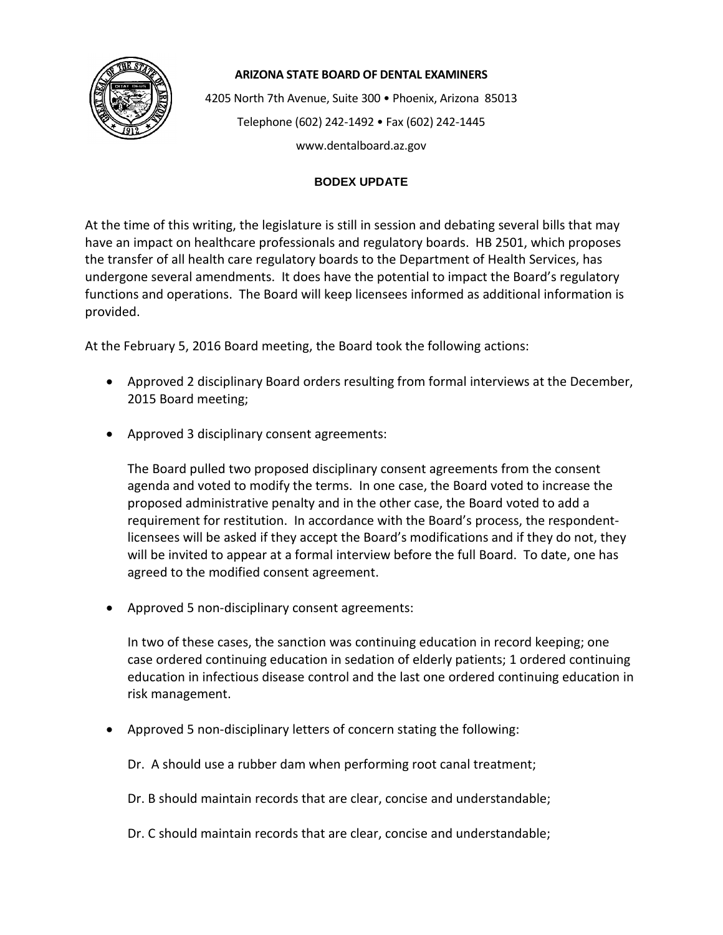

## **ARIZONA STATE BOARD OF DENTAL EXAMINERS**

4205 North 7th Avenue, Suite 300 • Phoenix, Arizona 85013 Telephone (602) 242-1492 • Fax (602) 242-1445 www.dentalboard.az.gov

## **BODEX UPDATE**

At the time of this writing, the legislature is still in session and debating several bills that may have an impact on healthcare professionals and regulatory boards. HB 2501, which proposes the transfer of all health care regulatory boards to the Department of Health Services, has undergone several amendments. It does have the potential to impact the Board's regulatory functions and operations. The Board will keep licensees informed as additional information is provided.

At the February 5, 2016 Board meeting, the Board took the following actions:

- Approved 2 disciplinary Board orders resulting from formal interviews at the December, 2015 Board meeting;
- Approved 3 disciplinary consent agreements:

The Board pulled two proposed disciplinary consent agreements from the consent agenda and voted to modify the terms. In one case, the Board voted to increase the proposed administrative penalty and in the other case, the Board voted to add a requirement for restitution. In accordance with the Board's process, the respondentlicensees will be asked if they accept the Board's modifications and if they do not, they will be invited to appear at a formal interview before the full Board. To date, one has agreed to the modified consent agreement.

• Approved 5 non-disciplinary consent agreements:

In two of these cases, the sanction was continuing education in record keeping; one case ordered continuing education in sedation of elderly patients; 1 ordered continuing education in infectious disease control and the last one ordered continuing education in risk management.

• Approved 5 non-disciplinary letters of concern stating the following:

Dr. A should use a rubber dam when performing root canal treatment;

Dr. B should maintain records that are clear, concise and understandable;

Dr. C should maintain records that are clear, concise and understandable;